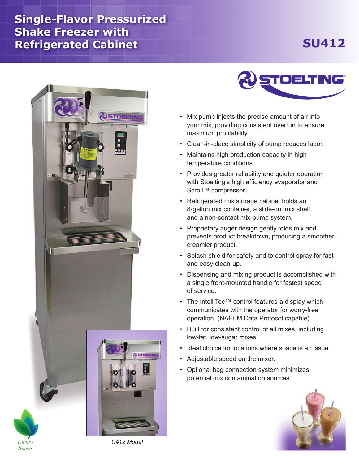## **Single-Flavor Pressurized Shake Freezer with Refrigerated Cabinet**

## **SU412**



*Smart*



- Mix pump injects the precise amount of air into your mix, providing consistent overrun to ensure maximum profitability.
- Clean-in-place simplicity of pump reduces labor.
- Maintains high production capacity in high temperature conditions.
- Provides greater reliability and quieter operation with Stoelting's high efficiency evaporator and Scroll™ compressor.
- Refrigerated mix storage cabinet holds an 8-gallon mix container, a slide-out mix shelf, and a non-contact mix-pump system.
- Proprietary auger design gently folds mix and prevents product breakdown, producing a smoother, creamier product.
- Splash shield for safety and to control spray for fast and easy clean-up.
- Dispensing and mixing product is accomplished with a single front-mounted handle for fastest speed of service.
- The IntelliTec™ control features a display which communicates with the operator for worry-free operation. (NAFEM Data Protocol capable)
- Built for consistent control of all mixes, including low-fat, low-sugar mixes.
- Ideal choice for locations where space is an issue.
- Adjustable speed on the mixer.
- Optional bag connection system minimizes potential mix contamination sources.



*U412 Model*